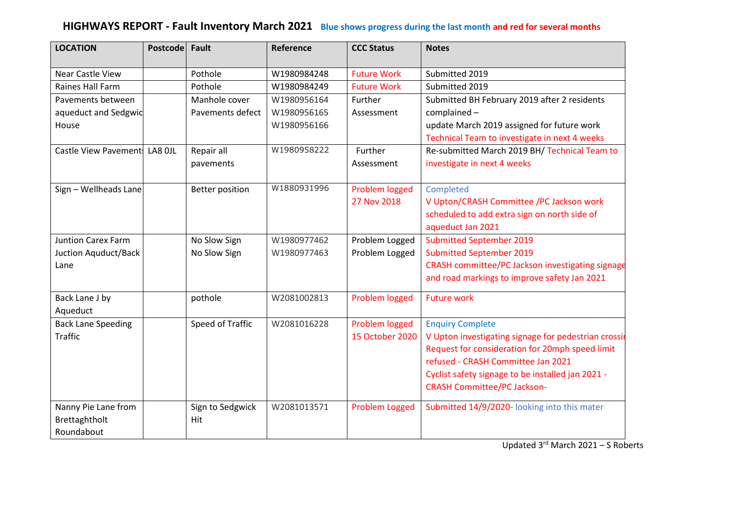## **HIGHWAYS REPORT - Fault Inventory March 2021 Blue shows progress during the last month and red for several months**

| <b>LOCATION</b>               | <b>Postcode</b> | Fault                  | Reference   | <b>CCC Status</b>     | <b>Notes</b>                                         |
|-------------------------------|-----------------|------------------------|-------------|-----------------------|------------------------------------------------------|
| Near Castle View              |                 | Pothole                | W1980984248 | <b>Future Work</b>    | Submitted 2019                                       |
| Raines Hall Farm              |                 | Pothole                | W1980984249 | <b>Future Work</b>    | Submitted 2019                                       |
| Pavements between             |                 | Manhole cover          | W1980956164 | Further               | Submitted BH February 2019 after 2 residents         |
| aqueduct and Sedgwic          |                 | Pavements defect       | W1980956165 | Assessment            | complained -                                         |
| House                         |                 |                        | W1980956166 |                       | update March 2019 assigned for future work           |
|                               |                 |                        |             |                       | Technical Team to investigate in next 4 weeks        |
| Castle View Pavement: LA8 OJL |                 | Repair all             | W1980958222 | Further               | Re-submitted March 2019 BH/ Technical Team to        |
|                               |                 | pavements              |             | Assessment            | investigate in next 4 weeks                          |
| Sign - Wellheads Lane         |                 | <b>Better position</b> | W1880931996 | Problem logged        | Completed                                            |
|                               |                 |                        |             | 27 Nov 2018           | V Upton/CRASH Committee /PC Jackson work             |
|                               |                 |                        |             |                       | scheduled to add extra sign on north side of         |
|                               |                 |                        |             |                       | aqueduct Jan 2021                                    |
| <b>Juntion Carex Farm</b>     |                 | No Slow Sign           | W1980977462 | Problem Logged        | <b>Submitted September 2019</b>                      |
| Juction Aquduct/Back          |                 | No Slow Sign           | W1980977463 | Problem Logged        | <b>Submitted September 2019</b>                      |
| Lane                          |                 |                        |             |                       | CRASH committee/PC Jackson investigating signage     |
|                               |                 |                        |             |                       | and road markings to improve safety Jan 2021         |
| Back Lane J by                |                 | pothole                | W2081002813 | Problem logged        | <b>Future work</b>                                   |
| Aqueduct                      |                 |                        |             |                       |                                                      |
| <b>Back Lane Speeding</b>     |                 | Speed of Traffic       | W2081016228 | Problem logged        | <b>Enquiry Complete</b>                              |
| <b>Traffic</b>                |                 |                        |             | 15 October 2020       | V Upton investigating signage for pedestrian crossin |
|                               |                 |                        |             |                       | Request for consideration for 20mph speed limit      |
|                               |                 |                        |             |                       | refused - CRASH Committee Jan 2021                   |
|                               |                 |                        |             |                       | Cyclist safety signage to be installed jan 2021 -    |
|                               |                 |                        |             |                       | <b>CRASH Committee/PC Jackson-</b>                   |
| Nanny Pie Lane from           |                 | Sign to Sedgwick       | W2081013571 | <b>Problem Logged</b> | Submitted 14/9/2020-looking into this mater          |
| Brettaghtholt                 |                 | <b>Hit</b>             |             |                       |                                                      |
| Roundabout                    |                 |                        |             |                       |                                                      |

Updated 3<sup>rd</sup> March 2021 - S Roberts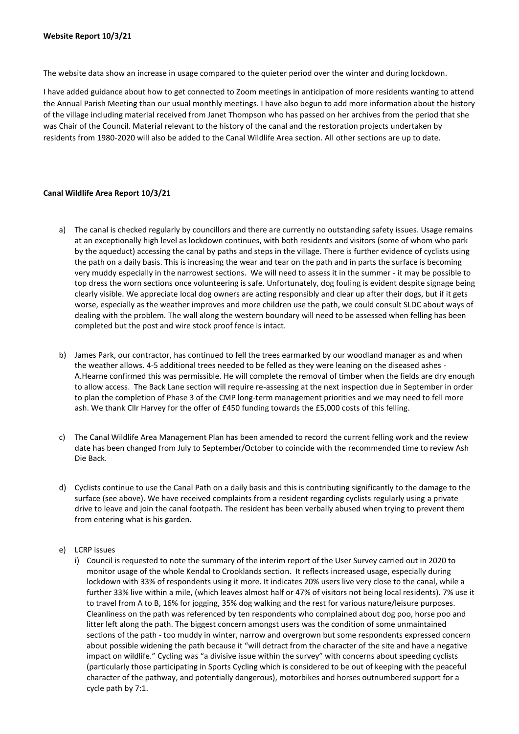The website data show an increase in usage compared to the quieter period over the winter and during lockdown.

I have added guidance about how to get connected to Zoom meetings in anticipation of more residents wanting to attend the Annual Parish Meeting than our usual monthly meetings. I have also begun to add more information about the history of the village including material received from Janet Thompson who has passed on her archives from the period that she was Chair of the Council. Material relevant to the history of the canal and the restoration projects undertaken by residents from 1980-2020 will also be added to the Canal Wildlife Area section. All other sections are up to date.

## **Canal Wildlife Area Report 10/3/21**

- a) The canal is checked regularly by councillors and there are currently no outstanding safety issues. Usage remains at an exceptionally high level as lockdown continues, with both residents and visitors (some of whom who park by the aqueduct) accessing the canal by paths and steps in the village. There is further evidence of cyclists using the path on a daily basis. This is increasing the wear and tear on the path and in parts the surface is becoming very muddy especially in the narrowest sections. We will need to assess it in the summer - it may be possible to top dress the worn sections once volunteering is safe. Unfortunately, dog fouling is evident despite signage being clearly visible. We appreciate local dog owners are acting responsibly and clear up after their dogs, but if it gets worse, especially as the weather improves and more children use the path, we could consult SLDC about ways of dealing with the problem. The wall along the western boundary will need to be assessed when felling has been completed but the post and wire stock proof fence is intact.
- b) James Park, our contractor, has continued to fell the trees earmarked by our woodland manager as and when the weather allows. 4-5 additional trees needed to be felled as they were leaning on the diseased ashes - A.Hearne confirmed this was permissible. He will complete the removal of timber when the fields are dry enough to allow access. The Back Lane section will require re-assessing at the next inspection due in September in order to plan the completion of Phase 3 of the CMP long-term management priorities and we may need to fell more ash. We thank Cllr Harvey for the offer of £450 funding towards the £5,000 costs of this felling.
- c) The Canal Wildlife Area Management Plan has been amended to record the current felling work and the review date has been changed from July to September/October to coincide with the recommended time to review Ash Die Back.
- d) Cyclists continue to use the Canal Path on a daily basis and this is contributing significantly to the damage to the surface (see above). We have received complaints from a resident regarding cyclists regularly using a private drive to leave and join the canal footpath. The resident has been verbally abused when trying to prevent them from entering what is his garden.

## e) LCRP issues

i) Council is requested to note the summary of the interim report of the User Survey carried out in 2020 to monitor usage of the whole Kendal to Crooklands section. It reflects increased usage, especially during lockdown with 33% of respondents using it more. It indicates 20% users live very close to the canal, while a further 33% live within a mile, (which leaves almost half or 47% of visitors not being local residents). 7% use it to travel from A to B, 16% for jogging, 35% dog walking and the rest for various nature/leisure purposes. Cleanliness on the path was referenced by ten respondents who complained about dog poo, horse poo and litter left along the path. The biggest concern amongst users was the condition of some unmaintained sections of the path - too muddy in winter, narrow and overgrown but some respondents expressed concern about possible widening the path because it "will detract from the character of the site and have a negative impact on wildlife." Cycling was "a divisive issue within the survey" with concerns about speeding cyclists (particularly those participating in Sports Cycling which is considered to be out of keeping with the peaceful character of the pathway, and potentially dangerous), motorbikes and horses outnumbered support for a cycle path by 7:1.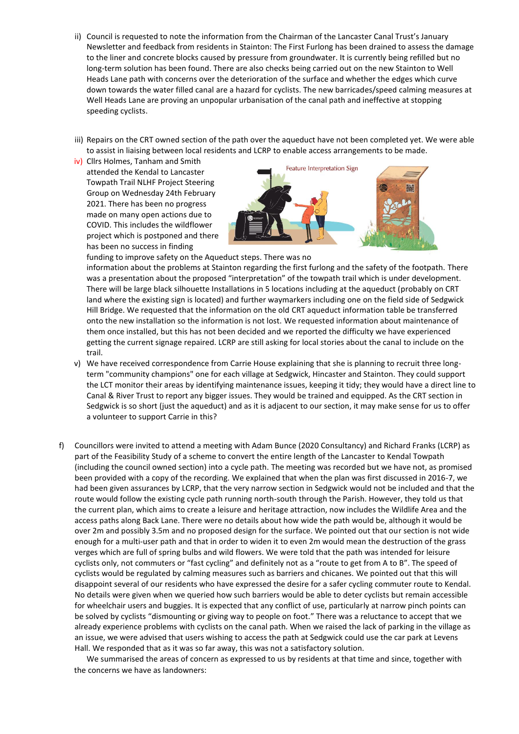- ii) Council is requested to note the information from the Chairman of the Lancaster Canal Trust's January Newsletter and feedback from residents in Stainton: The First Furlong has been drained to assess the damage to the liner and concrete blocks caused by pressure from groundwater. It is currently being refilled but no long-term solution has been found. There are also checks being carried out on the new Stainton to Well Heads Lane path with concerns over the deterioration of the surface and whether the edges which curve down towards the water filled canal are a hazard for cyclists. The new barricades/speed calming measures at Well Heads Lane are proving an unpopular urbanisation of the canal path and ineffective at stopping speeding cyclists.
- iii) Repairs on the CRT owned section of the path over the aqueduct have not been completed yet. We were able to assist in liaising between local residents and LCRP to enable access arrangements to be made.
- iv) Cllrs Holmes, Tanham and Smith attended the Kendal to Lancaster Towpath Trail NLHF Project Steering Group on Wednesday 24th February 2021. There has been no progress made on many open actions due to COVID. This includes the wildflower project which is postponed and there has been no success in finding



funding to improve safety on the Aqueduct steps. There was no information about the problems at Stainton regarding the first furlong and the safety of the footpath. There was a presentation about the proposed "interpretation" of the towpath trail which is under development. There will be large black silhouette Installations in 5 locations including at the aqueduct (probably on CRT land where the existing sign is located) and further waymarkers including one on the field side of Sedgwick Hill Bridge. We requested that the information on the old CRT aqueduct information table be transferred onto the new installation so the information is not lost. We requested information about maintenance of them once installed, but this has not been decided and we reported the difficulty we have experienced getting the current signage repaired. LCRP are still asking for local stories about the canal to include on the trail.

- v) We have received correspondence from Carrie House explaining that she is planning to recruit three longterm "community champions" one for each village at Sedgwick, Hincaster and Stainton. They could support the LCT monitor their areas by identifying maintenance issues, keeping it tidy; they would have a direct line to Canal & River Trust to report any bigger issues. They would be trained and equipped. As the CRT section in Sedgwick is so short (just the aqueduct) and as it is adjacent to our section, it may make sense for us to offer a volunteer to support Carrie in this?
- f) Councillors were invited to attend a meeting with Adam Bunce (2020 Consultancy) and Richard Franks (LCRP) as part of the Feasibility Study of a scheme to convert the entire length of the Lancaster to Kendal Towpath (including the council owned section) into a cycle path. The meeting was recorded but we have not, as promised been provided with a copy of the recording. We explained that when the plan was first discussed in 2016-7, we had been given assurances by LCRP, that the very narrow section in Sedgwick would not be included and that the route would follow the existing cycle path running north-south through the Parish. However, they told us that the current plan, which aims to create a leisure and heritage attraction, now includes the Wildlife Area and the access paths along Back Lane. There were no details about how wide the path would be, although it would be over 2m and possibly 3.5m and no proposed design for the surface. We pointed out that our section is not wide enough for a multi-user path and that in order to widen it to even 2m would mean the destruction of the grass verges which are full of spring bulbs and wild flowers. We were told that the path was intended for leisure cyclists only, not commuters or "fast cycling" and definitely not as a "route to get from A to B". The speed of cyclists would be regulated by calming measures such as barriers and chicanes. We pointed out that this will disappoint several of our residents who have expressed the desire for a safer cycling commuter route to Kendal. No details were given when we queried how such barriers would be able to deter cyclists but remain accessible for wheelchair users and buggies. It is expected that any conflict of use, particularly at narrow pinch points can be solved by cyclists "dismounting or giving way to people on foot." There was a reluctance to accept that we already experience problems with cyclists on the canal path. When we raised the lack of parking in the village as an issue, we were advised that users wishing to access the path at Sedgwick could use the car park at Levens Hall. We responded that as it was so far away, this was not a satisfactory solution.

We summarised the areas of concern as expressed to us by residents at that time and since, together with the concerns we have as landowners: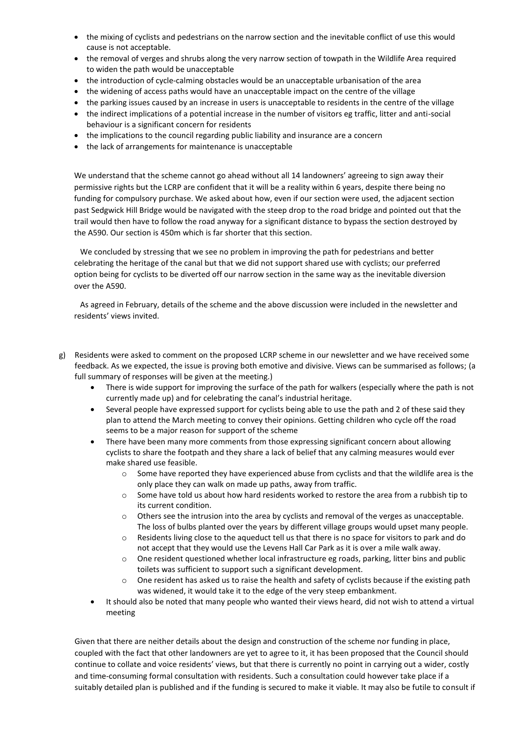- the mixing of cyclists and pedestrians on the narrow section and the inevitable conflict of use this would cause is not acceptable.
- the removal of verges and shrubs along the very narrow section of towpath in the Wildlife Area required to widen the path would be unacceptable
- the introduction of cycle-calming obstacles would be an unacceptable urbanisation of the area
- the widening of access paths would have an unacceptable impact on the centre of the village
- the parking issues caused by an increase in users is unacceptable to residents in the centre of the village
- the indirect implications of a potential increase in the number of visitors eg traffic, litter and anti-social behaviour is a significant concern for residents
- the implications to the council regarding public liability and insurance are a concern
- the lack of arrangements for maintenance is unacceptable

We understand that the scheme cannot go ahead without all 14 landowners' agreeing to sign away their permissive rights but the LCRP are confident that it will be a reality within 6 years, despite there being no funding for compulsory purchase. We asked about how, even if our section were used, the adjacent section past Sedgwick Hill Bridge would be navigated with the steep drop to the road bridge and pointed out that the trail would then have to follow the road anyway for a significant distance to bypass the section destroyed by the A590. Our section is 450m which is far shorter that this section.

 We concluded by stressing that we see no problem in improving the path for pedestrians and better celebrating the heritage of the canal but that we did not support shared use with cyclists; our preferred option being for cyclists to be diverted off our narrow section in the same way as the inevitable diversion over the A590.

 As agreed in February, details of the scheme and the above discussion were included in the newsletter and residents' views invited.

- g) Residents were asked to comment on the proposed LCRP scheme in our newsletter and we have received some feedback. As we expected, the issue is proving both emotive and divisive. Views can be summarised as follows; (a full summary of responses will be given at the meeting.)
	- There is wide support for improving the surface of the path for walkers (especially where the path is not currently made up) and for celebrating the canal's industrial heritage.
	- Several people have expressed support for cyclists being able to use the path and 2 of these said they plan to attend the March meeting to convey their opinions. Getting children who cycle off the road seems to be a major reason for support of the scheme
	- There have been many more comments from those expressing significant concern about allowing cyclists to share the footpath and they share a lack of belief that any calming measures would ever make shared use feasible.
		- $\circ$  Some have reported they have experienced abuse from cyclists and that the wildlife area is the only place they can walk on made up paths, away from traffic.
		- o Some have told us about how hard residents worked to restore the area from a rubbish tip to its current condition.
		- $\circ$  Others see the intrusion into the area by cyclists and removal of the verges as unacceptable. The loss of bulbs planted over the years by different village groups would upset many people.
		- o Residents living close to the aqueduct tell us that there is no space for visitors to park and do not accept that they would use the Levens Hall Car Park as it is over a mile walk away.
		- o One resident questioned whether local infrastructure eg roads, parking, litter bins and public toilets was sufficient to support such a significant development.
		- $\circ$  One resident has asked us to raise the health and safety of cyclists because if the existing path was widened, it would take it to the edge of the very steep embankment.
	- It should also be noted that many people who wanted their views heard, did not wish to attend a virtual meeting

Given that there are neither details about the design and construction of the scheme nor funding in place, coupled with the fact that other landowners are yet to agree to it, it has been proposed that the Council should continue to collate and voice residents' views, but that there is currently no point in carrying out a wider, costly and time-consuming formal consultation with residents. Such a consultation could however take place if a suitably detailed plan is published and if the funding is secured to make it viable. It may also be futile to consult if